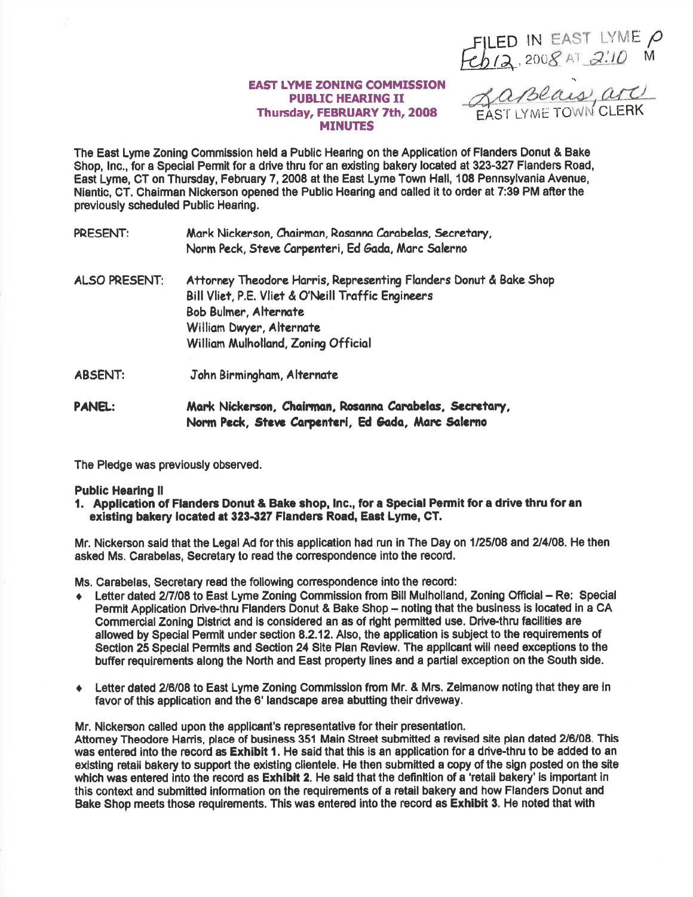FILED IN EAST LYME P<br>Feb12, 2008 AT 2:10 M<br>EAST LYME TOWN CLERK

## **EAST LYME ZONING COMMISSION PUBLIC HEARING II** Thursday, FEBRUARY 7th, 2008 **MINUTES**

The East Lyme Zoning Commission held a Public Hearing on the Application of Flanders Donut & Bake Shop, Inc., for a Special Permit for a drive thru for an existing bakery located at 323-327 Flanders Road, East Lyme, CT on Thursday, February 7, 2008 at the East Lyme Town Hall, 108 Pennsylvania Avenue, Nientic, CT, Chairman Nickerson opened the Public Hearing and called it to order at 7:39 PM after the previously scheduled Public Hearing.

- Mark Nickerson, Chairman, Rosanna Carabelas, Secretary, **PRESENT:** Norm Peck, Steve Carpenteri, Ed Gada, Marc Salerno
- Attorney Theodore Harris, Representing Flanders Donut & Bake Shop **ALSO PRESENT:** Bill Vliet, P.E. Vliet & O'Neill Traffic Engineers **Bob Bulmer, Alternate** William Dwyer, Alternate William Mulholland, Zoning Official
- John Birmingham, Alternate **ABSENT:**
- Mark Nickerson, Chairman, Rosanna Carabelas, Secretary, **PANEL:** Norm Peck, Steve Carpenteri, Ed Gada, Marc Salerno

The Pledge was previously observed.

## **Public Hearing II**

1. Application of Flanders Donut & Bake shop, Inc., for a Special Permit for a drive thru for an existing bakery located at 323-327 Flanders Road, East Lyme, CT.

Mr. Nickerson said that the Legal Ad for this application had run in The Day on 1/25/08 and 2/4/08. He then asked Ms. Carabelas, Secretary to read the correspondence into the record.

Ms. Carabelas. Secretary read the following correspondence into the record:

- Letter dated 2/7/08 to East Lyme Zoning Commission from Bill Mulholland. Zoning Official Re: Special Permit Application Drive-thru Flanders Donut & Bake Shop - noting that the business is located in a CA Commercial Zoning District and is considered an as of right permitted use. Drive-thru facilities are allowed by Special Permit under section 8.2.12. Also, the application is subject to the requirements of Section 25 Special Permits and Section 24 Site Plan Review. The applicant will need exceptions to the buffer requirements along the North and East property lines and a partial exception on the South side.
- Exterminated 2/6/08 to East Lyme Zoning Commission from Mr. & Mrs. Zeimanow noting that they are in favor of this application and the 6' landscape area abutting their driveway.

Mr. Nickerson called upon the applicant's representative for their presentation.

Attorney Theodore Harris, place of business 351 Main Street submitted a revised site plan dated 2/6/08. This was entered into the record as Exhibit 1. He said that this is an application for a drive-thru to be added to an existing retail bakery to support the existing clientele. He then submitted a copy of the sign posted on the site which was entered into the record as Exhibit 2. He said that the definition of a 'retail bakery' is important in this context and submitted information on the requirements of a retail bakery and how Flanders Donut and Bake Shop meets those requirements. This was entered into the record as Exhibit 3. He noted that with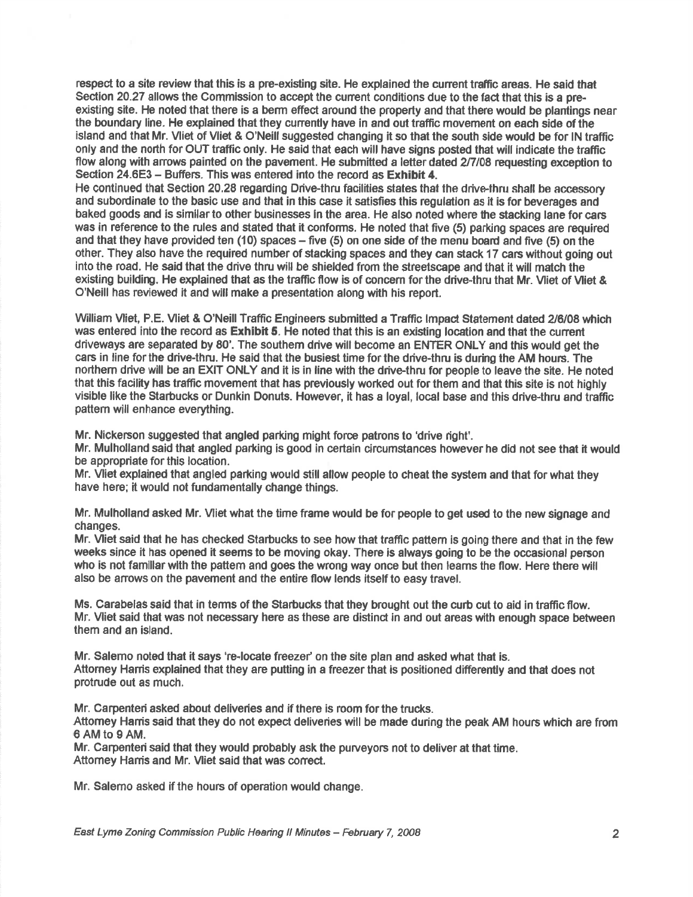respest to a site review that this is a pre-existing site. He explained the cunent trafiic areas. He said that Section 20.27 allows the Commission to accept the current conditions due to the fact that this is a preexisting site. He noted that there is a berm effect around the property and that there would be plantings near the boundary line. He explained that they currently have in and out traffic movement on each side of the island and that Mr. Vliet of Vliet & O'Neill suggested changing it so that the south side would be for IN traffic only end the north for OUT traffic only. He sald that each will have signs posted that will indicate the traffic flow along with arrows painted on the pavement. He submitted a letter dated 2/7/08 requesting exception to Section 24.6E3 - Buffers. This was entered into the record as Exhibit 4.

He continued that Section 20.28 regarding Drive-thru facilities states that the drive-thru shall be accessory and subordinate to the basic use and that in this case it satisfies this regulation as it is for beverages and baked goods and is similarto other businesses in the area. He also noted where the stacking lane for cars was in reference to the rules and stated that it conforms. He noted that five (5) parking spaces are required and that they have provided ten (10) spaces – five (5) on one side of the menu board and five (5) on the other. They also have the required number of stacking spaces and they can stack 17 cars without going out into the road. He said that the drive thru will be shielded from the streetscape and that it will match the existing building. He explained that as the traffic flow is of concern for the drive-thru that Mr. Vliet of Vliet & O'Neill has reviewed it and will make a presentation along with his report.

William Vliet, P.E. Vliet & O'Neill Traffic Engineers submitted a Traffic Impact Statement dated 2/6/08 which was entered into the record as Exhibit 5. He noted that this is an existing location and that the current driveways are separated by 80'. The southem drive will become an ENTER ONLY and this would get the cars in line forthe drive-thru. He said that the busiest time forthe drive-thru is during the AM hours. The northern drive will be an EXIT ONLY and it is in line with the drive-thru for people to leave the site. He noted that this facility has traffic movement that has previously worked out for them and that this site is not highly visible like the Starbucks or Dunkin Donuts. However, it has a loyal, local base and this drive-thru and traffic pattem will enhance everything.

Mr. Nickerson suggested that angled parking might foroe petrons to 'drive right'.

Mr. Mulholland said that angled parking is good in certain circumstances however he did not see that it would be appropriate for this location.

Mr. Miet explained that angled parking would still allow people to cheat the system and that for what they have here; it would not fundamentally change things.

Mr. Mulholland asked Mr. Vijet what the time frame would be for people to get used to the new signage and changes.

Mr. Vliet said that he has checked Starbucks to see how that traffic pattem is going there and that in lhe few weeks since it has opened it seems to be moving okay. There is always going to be the occasional person who is not familiar with the pattem and goes the wrong way once but then leams the flow. Here there will also be arows on the pavement and the entire flow lends itself to easy travel.

Ms. Carabelas said that in tenns of the Starbucks that they brought out the curb cut to aid in traffic flow. Mr. Vliet said that was not necessary here as these are distinct in and out areas with enough space between them and an island.

Mr. Salemo noted that it says 're-locate freezer' on the site plan and asked what that is. Attorney Harris explained that they are putting in a freezer that is positioned differently and that does not protrude out as much.

Mr. Carpenten asked about deliveries and if there is room for the trucks.

Attomey Harris said that they do not expect deliveries will be made during the peak AM hours which are from 6AMtogAM.

Mr. Carpenten said that they would probably ask the purveyors not to deliver at that time. Attomey Harris and Mr. Vliet said that was correct.

Mr. Salemo asked if the hours of operation would change.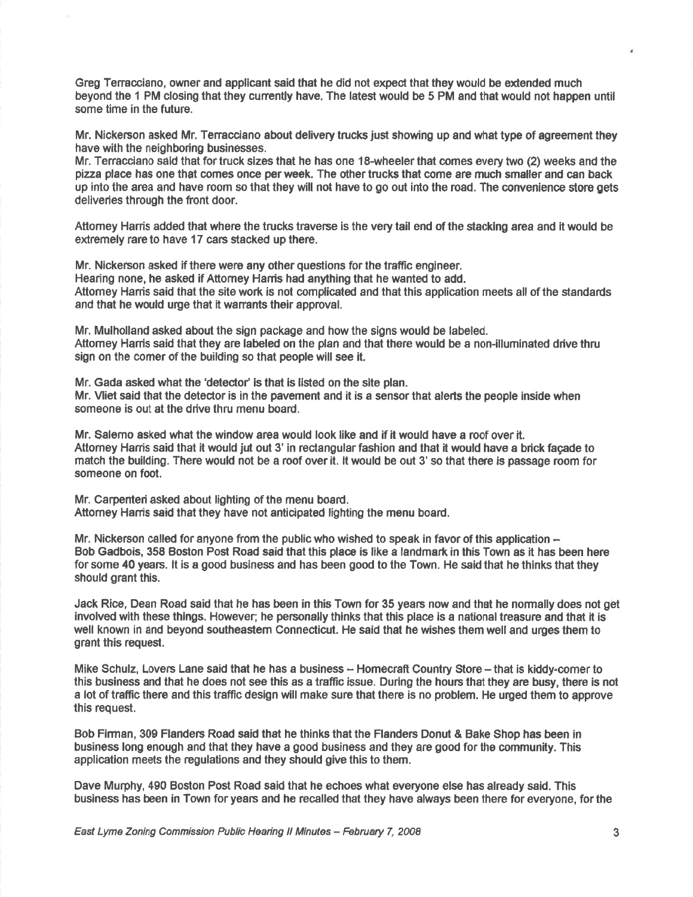Greg Tenacciano, owner and applicant said that he did not expect that they would be extended much beyond the 1 PM closing that they cunently have. The latest would be 5 PM and that would not happen until some time in the future.

Mr. Nickerson asked Mr. Tenacciano about delivery trucks just showing up and what type of agreement they have with the neighboring businesses.

Mr. Teracciano 6aid that for truck sizes that he has one 18-wheeler that comes every two (2) weeks and the pizza place has one that comes once per week. The other trucks that come are much smaller and can back up into the area and have room so that they will not have to go out into the road. The convenience store gets deliveries through the front door.

Attomey Harris added that where the trucks traverse is the very tail end of the stacking area and it would be extremely rare to have 17 cars stacked up there.

Mr. Nickerson asked if there were any other questions for the traffic engineer. Hearing none, he asked if Attomey Hanis had anything that he wanted to add. Attorney Harris said that the site work is not complicated and that this application meets all of the standards and that he would urge that it wanants their approval.

Mr. Mulholland asked about the sign package and how the signs would be labeled. Attomey Hanis said that they are labeled on the plan and that there would be a non-illuminated drive thru sign on the comer of the building so that people will see it.

Mr. Gada asked what the 'detector' is that is listed on the site plan. Mr. Vliet said that the detedor is in the pavement and it is a sensor that alerts the people inside when gomeons is out at the drive thru menu board.

Mr. Salemo asked what the window area would look like and if it would have a roof over it. Attomey Harris said that it would jut out 3' in rectangular fashion and that it would have a brick façade to match the building. There would not be a roof over it. lt would be out 3' so that there is passage room for someone on foot.

Mr. Carpenteri asked about lighting of the menu board. Attorney Harris said that they have not anticipated lighting the menu board.

Mr. Nickerson called for anyone from the public who wished to speak in favor of this application  $-$  Bob Gadbois, 358 Boston Post Road said that this plaoe is like a landmart in this Town as it has been here for some 40 years. lt is a good business and has been good to the Town. He said that he thinks that they should grant this.

Jack Rice, Dean Road said that he has been in this Town for 35 years now and that he normally does not get involved with these things. However; he personally thinks that this place is a national treasure and that it is well known in and beyond southeastem Connecticut. He said that he wishes them well and urges them to grant this request.

Mike Schulz, Lovers Lane said that he has a business -- Homecraft Country Store -- that is kiddy-comer to this business and that he does not see this as a trafiic issue. Durlng the houns that they are busy, there is not a lot of traffic there and this traffic design will make sure that there is no problem. He urged them to approve this request.

Bob Firman, 309 Flanders Road said that he thinks that the Flanders Donut & Bake Shop has been in business long enough and that they have a good business and they are good for the community. This application meets the regulations and they should give this to them.

Dave Murphy, 490 Boston Post Road said that he echoes what everyone else has already said. This business has been in Town for years and he recalled that they have always been there for everyone, for the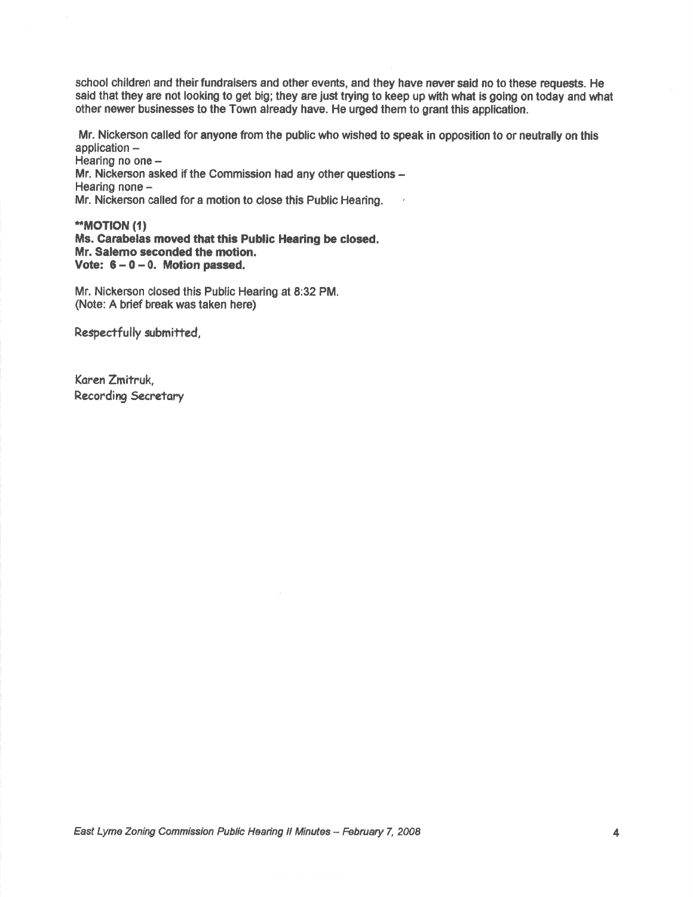school children and their fundraisers and other events, and they have never said no to these requests. He said that they are not looking to get big; they are just trying to keep up with what is going on today and what other newer businesses to the Town already have. He urged them to grant this application.

Mr. Nickerson called for anyone from the public who wished to speak in opposition to or neutrally on this application -

 Hearing no one -Mr. Nickerson asked if the Commission had any other questions -Hearing none  $-$ Mr. Nickerson called for a motion to close this Public Hearing.

**"MOTION (1)** Ms. Carabelas moved that this Public Hearing be closed. Mr. Salemo seconded the motion. Vote:  $6 - 0 - 0$ . Motion passed.

Mr. Nickerson closed this Public Hearing at 8:32 PM. (Note: A brief break was taken here)

Respectfully submitted,

Koren Zmitruk, Recording Secretary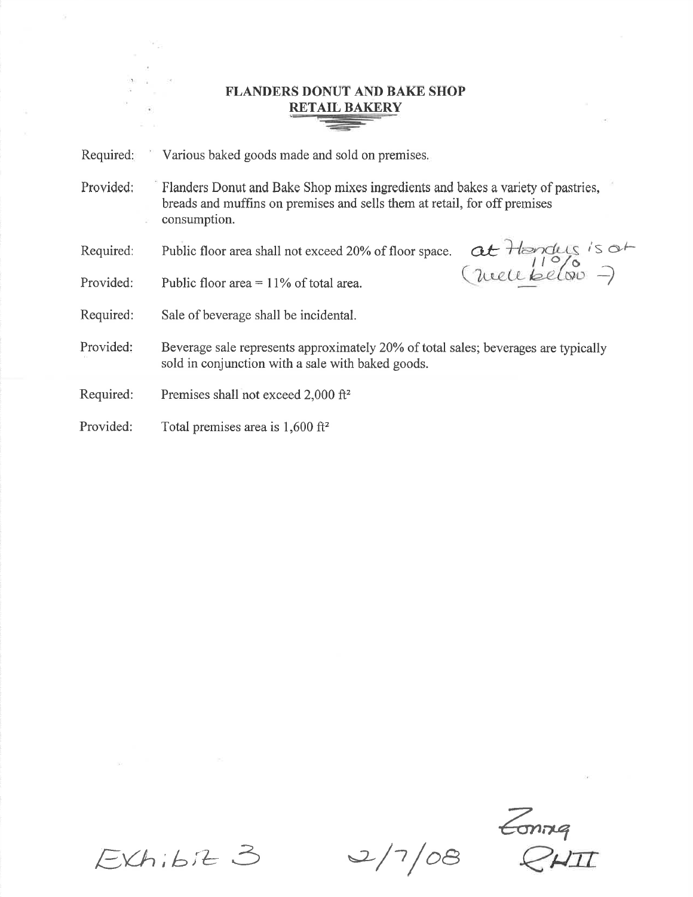## FLANDERS DONUT AND BAKE SHOP RETAIL BAKERY

Required Various baked goods made and sold on premises

Provided: Flanders Donut and Bake Shop mixes ingredients and bakes a variety of pastries, breads and muffins on premises and sells them at retail, for off premises consumption.

Required: Public floor area shall not exceed 20% of floor space.

Provided: Public floor area =  $11\%$  of total area.  $\therefore$  well below

 $i$ s a $\vdash$  $1^{\circ}/\circ$ 

Required: Sale of beverage shall be incidental.

Provided Beverage sale represents approximately 20Yo of total sales; beverages are typically sold in conjunction with a sale with baked goods.

Required: Premises shall not exceed 2,000 ft<sup>2</sup>

Provided: Total premises area is 1,600 ft<sup>2</sup>

 $\epsilon$ onnq

 $EXh$ ,  $b$   $B$   $2/7/08$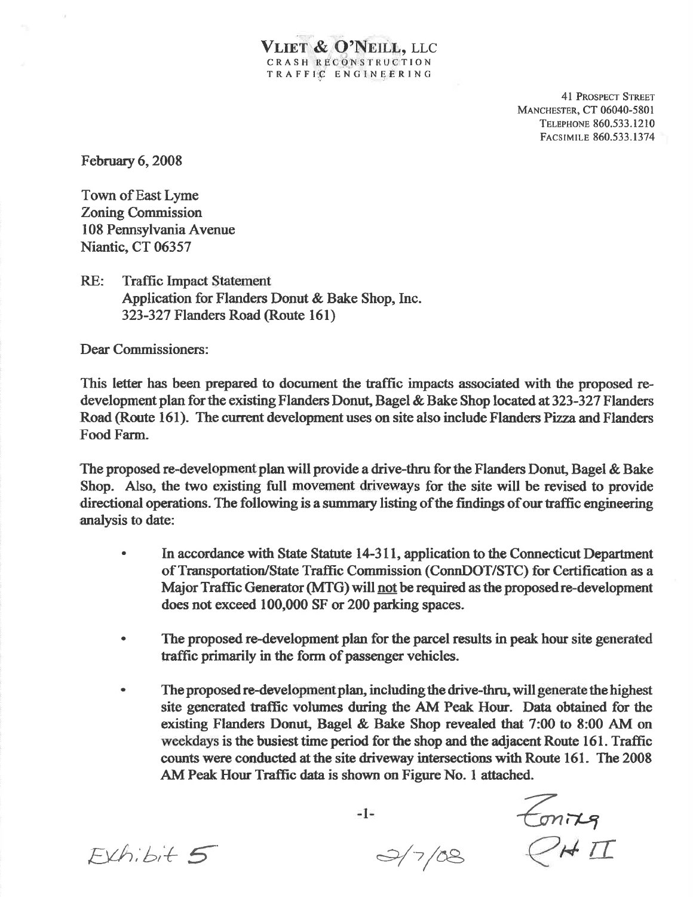41 PROSPECT STREET **MANCHESTER, CT 06040-5801** TELEPHONE 860.533.1210 FACSIMILE 860.533.1374

February 6, 2008

Town of East Lyme Zonimg Commission I08 PemsylvaniaAvenue Niantic, CT 06357

RE: Traffic Impact Statement Application for Flanders Donut  $&$  Bake Shop, Inc. 323-327 Flanders Road (Route 16l)

Dear Commissionersi:

This letter has been prepared to document the traffic impacts associated with the proposed redevelopment plan for the existing Flanders Donut, Bagel & Bake Shop located at 323-327 Flanders Road (Route 161). The current development uses on site also include Flanders Pizza and Flanders Food Farm.

VLIET & O'NEILL, LLC CRASH RECONSTRUCTION TRAFFIC ENGINEERING

The proposed re-development plan will provide a drive-thru for the Flanders Donut, Bagel & Bake Shop. Also, the two existing full movement driveways for the site will be revised to provide directional operations. The following is a summary listing of the findings of our traffic engineering analysis to date:

- In accordance with State Statute 14-311, application to the Connecticut Department of Transportatior/State Traffic Commission (ConnDOT/STC) for Certification as <sup>a</sup> Major Traffic Generator (MTG) will not be required as the proposed re-development does not exceed 100,000 SF or 200 parking spaces. a
- a The proposed re-development plan for the parcel results in peak hour site generated traffic primarily in the form of passcnger vehicles.
- a The proposed re-development plan, including the drive-thru, will generate the highest site generated traffic volumes during the AM Peak Hour. Data obtained for the existing Flanders Donut, Bagel & Bake Shop revealed that 7:00 to 8:00 AM on weekdays is the busiest time period for the shop and the adjacent Route 161. Traffic counts were conducted at the site driveway intersections with Route 161. The 2008 AM Peak Hour Traffic data is shown on Figure No. 1 attached.

EvA;b;+ 5

 $-1-$ 

 $\frac{2}{7/08}$ 

 $\epsilon$ mne  $\overline{\mathcal{L}}$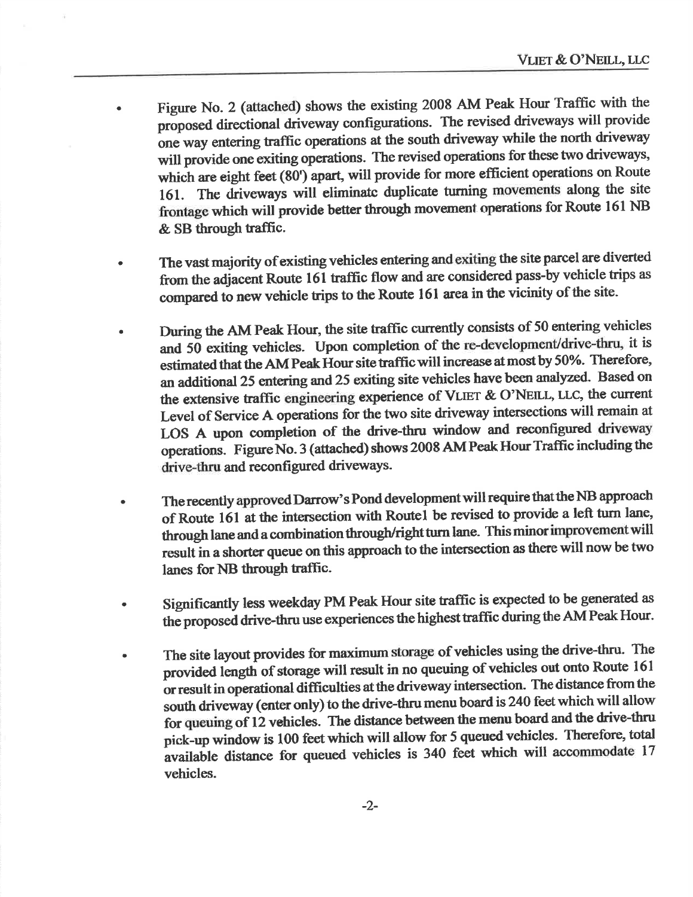- Figure No. 2 (attached) shows the existing 2008 AM Peak Hour Traffic with the proposed directional driveway configurations. The revised driveways will provide one way entering traffic operations at the south driveway while the north driveway will provide one exiting operations. The revised operations for these two driveways, which are eight feet (80') apart, will provide for more efficient operations on Route 161. The driveways will eliminate duplicate turning movements along the site frontage which will provide better through movement operations for Route 161 NB & SB through traffic.
- The vast majority of existing vehicles entering and exiting the site parcel are diverted from the adjacent Route 161 traffic flow and are considered pass-by vehicle trips as compared to new vehicle trips to the Route 161 area in the vicinity of the site.
- During the AM Peak Hour, the site traffic currently consists of 50 entering vehicles and 50 exiting vehicles. Upon completion of the re-development/drive-thru, it is estimated that the AM Peak Hour site traffic will increase at most by 50%. Therefore, an additional 25 entering and 25 exiting site vehicles have been analyzed. Based on the extensive traffic engineering experience of VLIET & O'NEILL, LLC, the current Level of Service A operations for the two site driveway intersections will remain at LOS A upon completion of the drive-thru window and reconfigured driveway operations. Figure No. 3 (attached) shows 2008 AM Peak Hour Traffic including the drive-thru and reconfigured driveways.
- The recently approved Darrow's Pond development will require that the NB approach of Route 161 at the intersection with Route1 be revised to provide a left turn lane, through lane and a combination through/right turn lane. This minor improvement will result in a shorter queue on this approach to the intersection as there will now be two lanes for NB through traffic.
- Significantly less weekday PM Peak Hour site traffic is expected to be generated as the proposed drive-thru use experiences the highest traffic during the AM Peak Hour.
- The site layout provides for maximum storage of vehicles using the drive-thru. The provided length of storage will result in no queuing of vehicles out onto Route 161 or result in operational difficulties at the driveway intersection. The distance from the south driveway (enter only) to the drive-thru menu board is 240 feet which will allow for queuing of 12 vehicles. The distance between the menu board and the drive-thru pick-up window is 100 feet which will allow for 5 queued vehicles. Therefore, total available distance for queued vehicles is 340 feet which will accommodate 17 vehicles.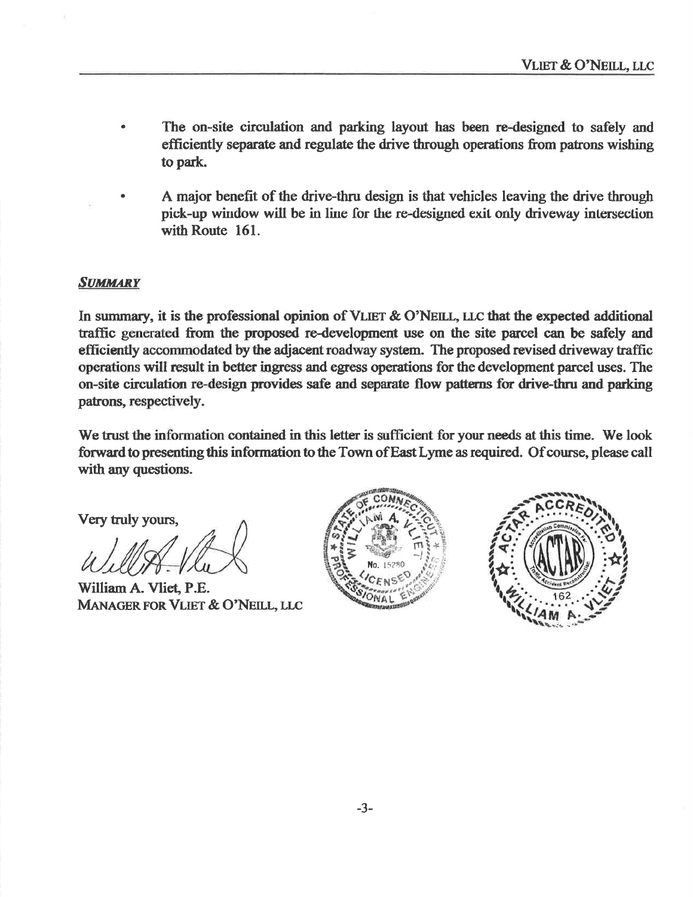- The on-site circulation and parking layout has been re-designed to safely and efficiently separate and regulate the drive through operations from patrons wishing to park.
- A major benefit of the drive-thru design is that vehicles leaving the drive through pick-up window will be in line for the re-designed exit only driveway intersection with Route 161.

## **SUMMARY**

In summary, it is the professional opinion of VLIET & O'NEILL, LLC that the expected additional traffic generated from the proposed re-development use on the site parcel can be safely and efficiently accommodated by the adjacent roadway system. The proposed revised driveway traffic operations will result in better ingress and egress operations for the development parcel uses. The on-site circulation re-design provides safe and separate flow patterns for drive-thru and parking patrons, respectively.

We trust the information contained in this letter is sufficient for your needs at this time. We look forward to presenting this information to the Town of East Lyme as required. Of course, please call with any questions.

Very truly yours,

William A. Vliet, P.E. MANAGER FOR VLIET & O'NEILL, LLC



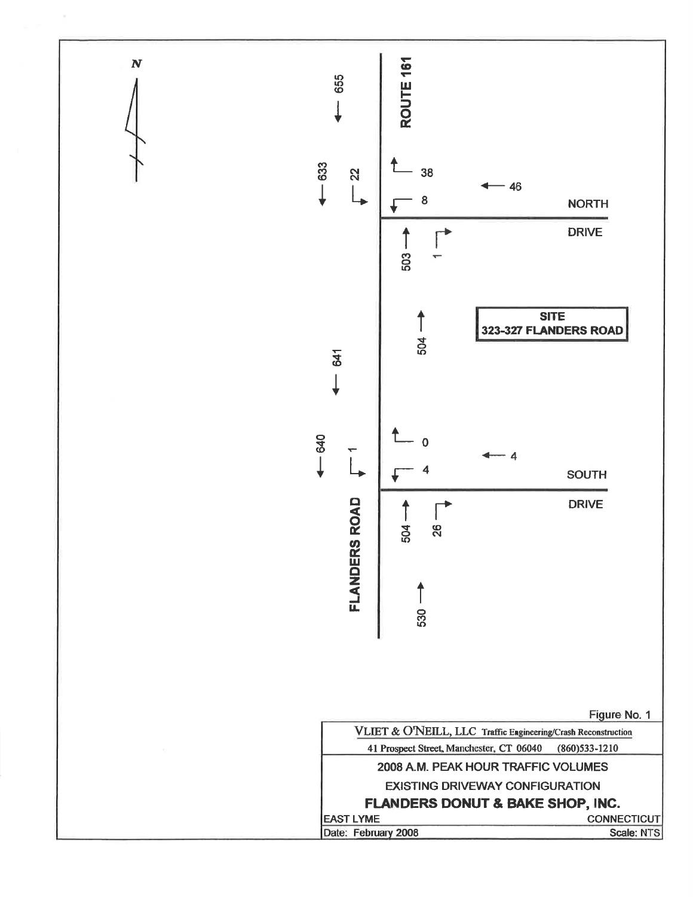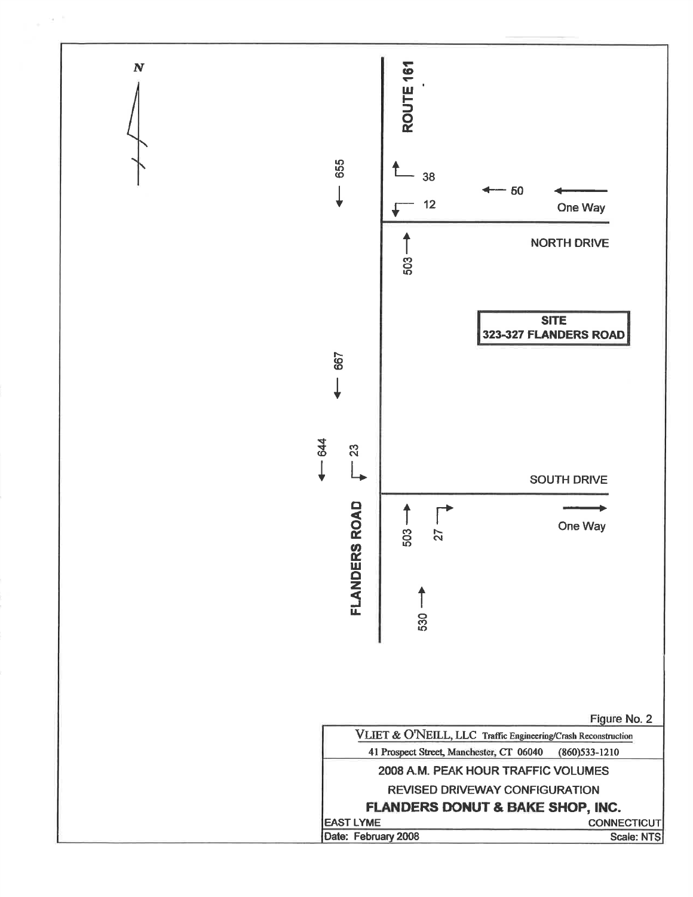